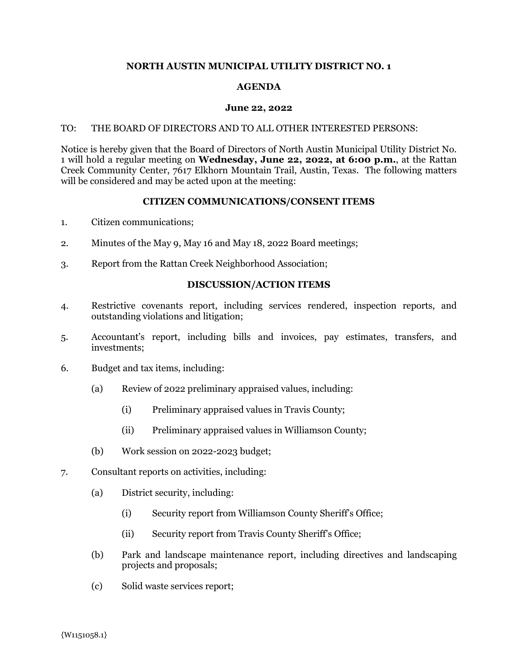# **NORTH AUSTIN MUNICIPAL UTILITY DISTRICT NO. 1**

# **AGENDA**

#### **June 22, 2022**

### TO: THE BOARD OF DIRECTORS AND TO ALL OTHER INTERESTED PERSONS:

Notice is hereby given that the Board of Directors of North Austin Municipal Utility District No. 1 will hold a regular meeting on **Wednesday, June 22, 2022, at 6:00 p.m.**, at the Rattan Creek Community Center, 7617 Elkhorn Mountain Trail, Austin, Texas. The following matters will be considered and may be acted upon at the meeting:

## **CITIZEN COMMUNICATIONS/CONSENT ITEMS**

- 1. Citizen communications;
- 2. Minutes of the May 9, May 16 and May 18, 2022 Board meetings;
- 3. Report from the Rattan Creek Neighborhood Association;

## **DISCUSSION/ACTION ITEMS**

- 4. Restrictive covenants report, including services rendered, inspection reports, and outstanding violations and litigation;
- 5. Accountant's report, including bills and invoices, pay estimates, transfers, and investments;
- 6. Budget and tax items, including:
	- (a) Review of 2022 preliminary appraised values, including:
		- (i) Preliminary appraised values in Travis County;
		- (ii) Preliminary appraised values in Williamson County;
	- (b) Work session on 2022-2023 budget;
- 7. Consultant reports on activities, including:
	- (a) District security, including:
		- (i) Security report from Williamson County Sheriff's Office;
		- (ii) Security report from Travis County Sheriff's Office;
	- (b) Park and landscape maintenance report, including directives and landscaping projects and proposals;
	- (c) Solid waste services report;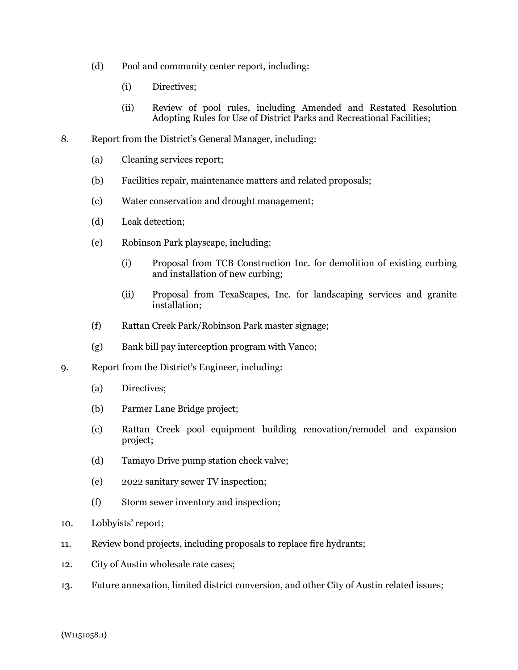- (d) Pool and community center report, including:
	- (i) Directives;
	- (ii) Review of pool rules, including Amended and Restated Resolution Adopting Rules for Use of District Parks and Recreational Facilities;
- 8. Report from the District's General Manager, including:
	- (a) Cleaning services report;
	- (b) Facilities repair, maintenance matters and related proposals;
	- (c) Water conservation and drought management;
	- (d) Leak detection;
	- (e) Robinson Park playscape, including:
		- (i) Proposal from TCB Construction Inc. for demolition of existing curbing and installation of new curbing;
		- (ii) Proposal from TexaScapes, Inc. for landscaping services and granite installation;
	- (f) Rattan Creek Park/Robinson Park master signage;
	- (g) Bank bill pay interception program with Vanco;
- 9. Report from the District's Engineer, including:
	- (a) Directives;
	- (b) Parmer Lane Bridge project;
	- (c) Rattan Creek pool equipment building renovation/remodel and expansion project;
	- (d) Tamayo Drive pump station check valve;
	- (e) 2022 sanitary sewer TV inspection;
	- (f) Storm sewer inventory and inspection;
- 10. Lobbyists' report;
- 11. Review bond projects, including proposals to replace fire hydrants;
- 12. City of Austin wholesale rate cases;
- 13. Future annexation, limited district conversion, and other City of Austin related issues;